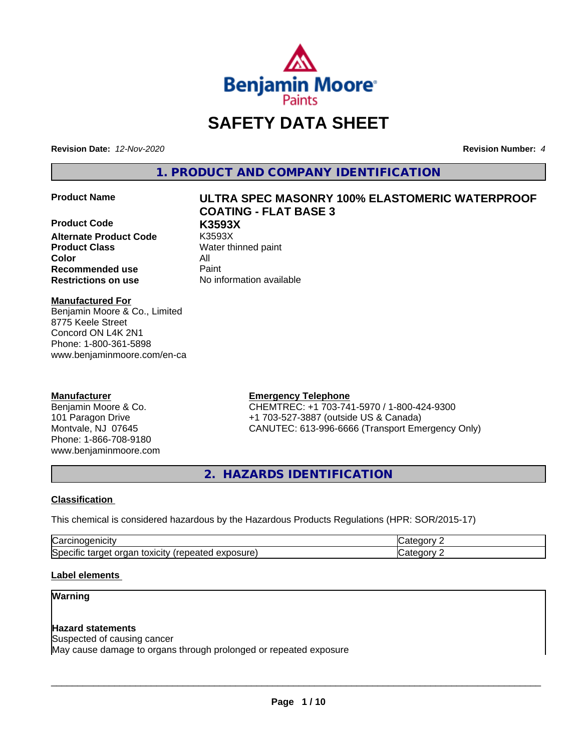

# **SAFETY DATA SHEET**

**Revision Date:** *12-Nov-2020* **Revision Number:** *4*

**1. PRODUCT AND COMPANY IDENTIFICATION**

**Product Code K3593X Alternate Product Code Product Class** Water thinned paint **Color** All **Recommended use** Paint **Restrictions on use** No information available

# **Product Name ULTRA SPEC MASONRY 100% ELASTOMERIC WATERPROOF COATING - FLAT BASE 3**

**Manufactured For**

Benjamin Moore & Co., Limited 8775 Keele Street Concord ON L4K 2N1 Phone: 1-800-361-5898 www.benjaminmoore.com/en-ca

#### **Manufacturer**

Benjamin Moore & Co. 101 Paragon Drive Montvale, NJ 07645 Phone: 1-866-708-9180 www.benjaminmoore.com

#### **Emergency Telephone**

CHEMTREC: +1 703-741-5970 / 1-800-424-9300 +1 703-527-3887 (outside US & Canada) CANUTEC: 613-996-6666 (Transport Emergency Only)

**2. HAZARDS IDENTIFICATION**

#### **Classification**

This chemical is considered hazardous by the Hazardous Products Regulations (HPR: SOR/2015-17)

| ∽<br>$   -$<br>Na                                                                                        | ---- |  |
|----------------------------------------------------------------------------------------------------------|------|--|
| .<br>∽<br>osure<br>target<br>toxicity<br>organ<br>.<br>-----<br>lSner<br>™nea…<br>эню<br>ن تص<br>.<br>ех |      |  |

#### **Label elements**

#### **Warning**

#### **Hazard statements**

Suspected of causing cancer

May cause damage to organs through prolonged or repeated exposure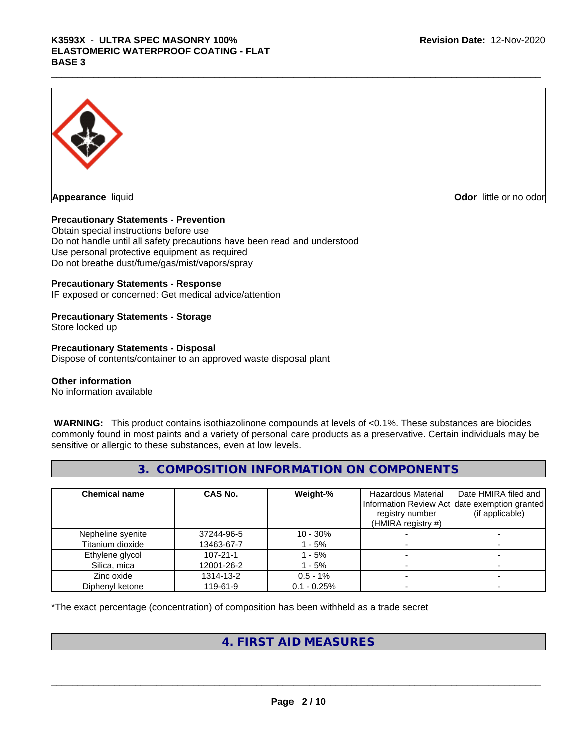

**Appearance** liquid **CODO** *Appearance liquid* **Odor**  *CODO CODO* **<b>***CODO CODO CODO CODO CODO CODO CODO CODO CODO CODO CODO CODO CODO CODO CODO CODO CODO* 

#### **Precautionary Statements - Prevention**

Obtain special instructions before use Do not handle until all safety precautions have been read and understood Use personal protective equipment as required Do not breathe dust/fume/gas/mist/vapors/spray

#### **Precautionary Statements - Response**

IF exposed or concerned: Get medical advice/attention

#### **Precautionary Statements - Storage**

Store locked up

#### **Precautionary Statements - Disposal**

Dispose of contents/container to an approved waste disposal plant

#### **Other information**

No information available

 **WARNING:** This product contains isothiazolinone compounds at levels of <0.1%. These substances are biocides commonly found in most paints and a variety of personal care products as a preservative. Certain individuals may be sensitive or allergic to these substances, even at low levels.

#### **3. COMPOSITION INFORMATION ON COMPONENTS**

| <b>Chemical name</b> | <b>CAS No.</b> | Weight-%      | Hazardous Material<br>Information Review Act date exemption granted<br>registry number<br>(HMIRA registry $#$ ) | Date HMIRA filed and<br>(if applicable) |
|----------------------|----------------|---------------|-----------------------------------------------------------------------------------------------------------------|-----------------------------------------|
| Nepheline syenite    | 37244-96-5     | $10 - 30\%$   |                                                                                                                 |                                         |
| Titanium dioxide     | 13463-67-7     | - 5%          |                                                                                                                 |                                         |
| Ethylene glycol      | $107 - 21 - 1$ | $-5%$         |                                                                                                                 |                                         |
| Silica, mica         | 12001-26-2     | $-5%$         |                                                                                                                 |                                         |
| Zinc oxide           | 1314-13-2      | $0.5 - 1\%$   |                                                                                                                 |                                         |
| Diphenyl ketone      | 119-61-9       | $0.1 - 0.25%$ |                                                                                                                 |                                         |

\*The exact percentage (concentration) of composition has been withheld as a trade secret

#### **4. FIRST AID MEASURES**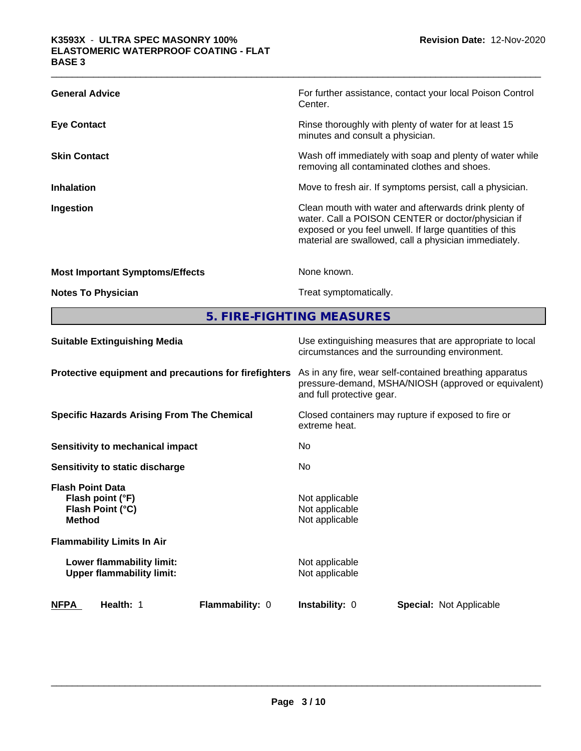| <b>General Advice</b>                  | For further assistance, contact your local Poison Control<br>Center.                                                                                                                                                            |
|----------------------------------------|---------------------------------------------------------------------------------------------------------------------------------------------------------------------------------------------------------------------------------|
| <b>Eye Contact</b>                     | Rinse thoroughly with plenty of water for at least 15<br>minutes and consult a physician.                                                                                                                                       |
| <b>Skin Contact</b>                    | Wash off immediately with soap and plenty of water while<br>removing all contaminated clothes and shoes.                                                                                                                        |
| <b>Inhalation</b>                      | Move to fresh air. If symptoms persist, call a physician.                                                                                                                                                                       |
| Ingestion                              | Clean mouth with water and afterwards drink plenty of<br>water. Call a POISON CENTER or doctor/physician if<br>exposed or you feel unwell. If large quantities of this<br>material are swallowed, call a physician immediately. |
| <b>Most Important Symptoms/Effects</b> | None known.                                                                                                                                                                                                                     |
| <b>Notes To Physician</b>              | Treat symptomatically.                                                                                                                                                                                                          |

**5. FIRE-FIGHTING MEASURES**

| <b>NFPA</b><br>Health: 1                                                         | <b>Flammability: 0</b>                                                                                                                       | <b>Instability: 0</b>                                                                                      | <b>Special: Not Applicable</b> |  |
|----------------------------------------------------------------------------------|----------------------------------------------------------------------------------------------------------------------------------------------|------------------------------------------------------------------------------------------------------------|--------------------------------|--|
| Lower flammability limit:<br><b>Upper flammability limit:</b>                    |                                                                                                                                              | Not applicable<br>Not applicable                                                                           |                                |  |
| <b>Flammability Limits In Air</b>                                                |                                                                                                                                              |                                                                                                            |                                |  |
| <b>Flash Point Data</b><br>Flash point (°F)<br>Flash Point (°C)<br><b>Method</b> |                                                                                                                                              | Not applicable<br>Not applicable<br>Not applicable                                                         |                                |  |
| Sensitivity to static discharge                                                  |                                                                                                                                              | N <sub>0</sub>                                                                                             |                                |  |
| Sensitivity to mechanical impact                                                 |                                                                                                                                              | No.                                                                                                        |                                |  |
| <b>Specific Hazards Arising From The Chemical</b>                                | Closed containers may rupture if exposed to fire or<br>extreme heat.                                                                         |                                                                                                            |                                |  |
| Protective equipment and precautions for firefighters                            | As in any fire, wear self-contained breathing apparatus<br>pressure-demand, MSHA/NIOSH (approved or equivalent)<br>and full protective gear. |                                                                                                            |                                |  |
| <b>Suitable Extinguishing Media</b>                                              |                                                                                                                                              | Use extinguishing measures that are appropriate to local<br>circumstances and the surrounding environment. |                                |  |
|                                                                                  |                                                                                                                                              |                                                                                                            |                                |  |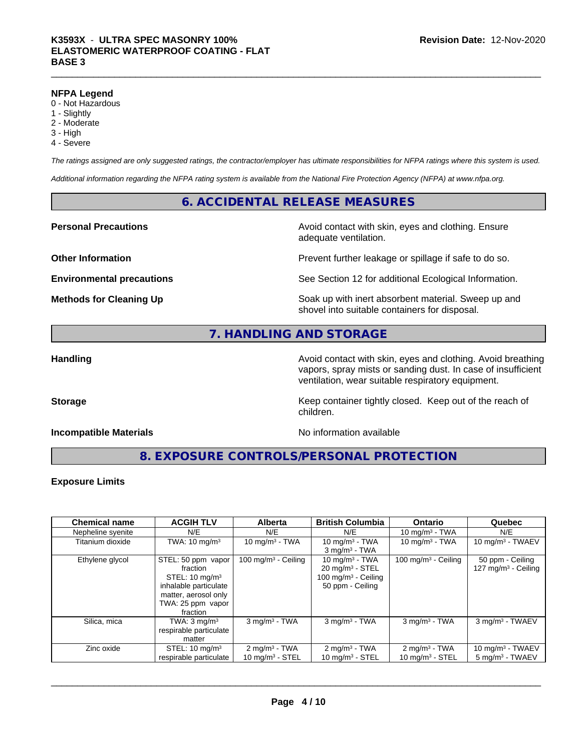#### **NFPA Legend**

- 0 Not Hazardous
- 1 Slightly
- 2 Moderate
- 3 High
- 4 Severe

*The ratings assigned are only suggested ratings, the contractor/employer has ultimate responsibilities for NFPA ratings where this system is used.*

*Additional information regarding the NFPA rating system is available from the National Fire Protection Agency (NFPA) at www.nfpa.org.*

#### **6. ACCIDENTAL RELEASE MEASURES**

#### **Personal Precautions Precautions** Avoid contact with skin, eyes and clothing. Ensure

**Other Information Discription Prevent further leakage or spillage if safe to do so.** 

**Environmental precautions** See Section 12 for additional Ecological Information.

**Methods for Cleaning Up Example 20 Soak** up with inert absorbent material. Sweep up and shovel into suitable containers for disposal.

#### **7. HANDLING AND STORAGE**

**Handling Handling Avoid contact with skin, eyes and clothing. Avoid breathing Handling Avoid breathing Avoid breathing** vapors, spray mists or sanding dust. In case of insufficient ventilation, wear suitable respiratory equipment.

**Storage Keep container tightly closed. Keep out of the reach of Keep** container tightly closed. Keep out of the reach of

#### **Incompatible Materials** Noinformation available

adequate ventilation.

**8. EXPOSURE CONTROLS/PERSONAL PROTECTION**

children.

#### **Exposure Limits**

| <b>Chemical name</b> | <b>ACGIH TLV</b>                                                                                                                              | <b>Alberta</b>                                 | <b>British Columbia</b>                                                                                | <b>Ontario</b>                                            | Quebec                                              |
|----------------------|-----------------------------------------------------------------------------------------------------------------------------------------------|------------------------------------------------|--------------------------------------------------------------------------------------------------------|-----------------------------------------------------------|-----------------------------------------------------|
| Nepheline syenite    | N/E                                                                                                                                           | N/E                                            | N/E                                                                                                    | 10 mg/m $3$ - TWA                                         | N/E                                                 |
| Titanium dioxide     | TWA: $10 \text{ mg/m}^3$                                                                                                                      | 10 mg/m $3 - TWA$                              | 10 mg/m $3$ - TWA<br>$3$ mg/m $3$ - TWA                                                                | 10 mg/m $3$ - TWA                                         | 10 mg/m $3$ - TWAEV                                 |
| Ethylene glycol      | STEL: 50 ppm vapor<br>fraction<br>STEL: $10 \text{ mg/m}^3$<br>inhalable particulate<br>matter, aerosol only<br>TWA: 25 ppm vapor<br>fraction | 100 mg/m $3$ - Ceiling                         | 10 mg/m $3$ - TWA<br>$20 \text{ mg/m}^3$ - STEL<br>100 mg/m <sup>3</sup> - Ceiling<br>50 ppm - Ceiling | 100 mg/m $3$ - Ceiling                                    | 50 ppm - Ceiling<br>127 mg/m <sup>3</sup> - Ceiling |
| Silica, mica         | TWA: $3 \text{ mg/m}^3$<br>respirable particulate<br>matter                                                                                   | $3$ mg/m <sup>3</sup> - TWA                    | $3$ mg/m <sup>3</sup> - TWA                                                                            | $3$ mg/m $3$ - TWA                                        | 3 mg/m <sup>3</sup> - TWAEV                         |
| Zinc oxide           | STEL: $10 \text{ mg/m}^3$<br>respirable particulate                                                                                           | $2 \text{ mg/m}^3$ - TWA<br>10 mg/m $3$ - STEL | $2 \text{ mg/m}^3$ - TWA<br>10 mg/m $3$ - STEL                                                         | $2$ mg/m <sup>3</sup> - TWA<br>$10 \text{ mg/m}^3$ - STEL | 10 mg/m $3$ - TWAEV<br>$5 \text{ mg/m}^3$ - TWAEV   |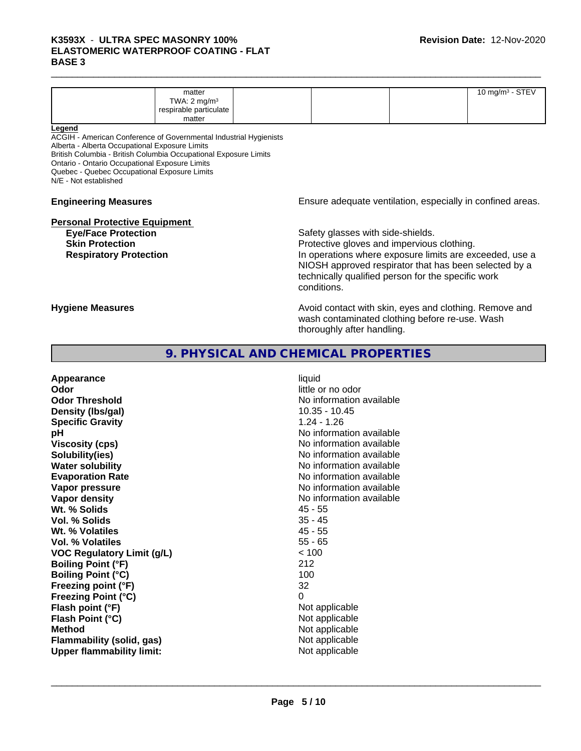| TWA: $2 \text{ mg/m}^3$<br>respirable particulate | matter |  | 10 mg/m $3 -$ STEV |
|---------------------------------------------------|--------|--|--------------------|
|                                                   |        |  |                    |
|                                                   |        |  |                    |
|                                                   | matter |  |                    |

#### **Legend**

ACGIH - American Conference of Governmental Industrial Hygienists Alberta - Alberta Occupational Exposure Limits British Columbia - British Columbia Occupational Exposure Limits Ontario - Ontario Occupational Exposure Limits Quebec - Quebec Occupational Exposure Limits N/E - Not established

# **Personal Protective Equipment**

**Engineering Measures Ensure adequate ventilation, especially in confined areas.** 

**Eye/Face Protection Safety glasses with side-shields. Skin Protection Protection Protective gloves and impervious clothing. Respiratory Protection In operations where exposure limits are exceeded, use a** NIOSH approved respirator that has been selected by a technically qualified person for the specific work conditions.

**Hygiene Measures Avoid contact with skin, eyes and clothing. Remove and Avoid contact with skin, eyes and clothing. Remove and Avoid contact with skin, eyes and clothing. Remove and** wash contaminated clothing before re-use. Wash thoroughly after handling.

#### **9. PHYSICAL AND CHEMICAL PROPERTIES**

**Appearance** liquid **Odor** little or no odor **Odor Threshold** No information available **Density (Ibs/gal)** 10.35 - 10.45<br> **Specific Gravity** 1.24 - 1.26 **Specific Gravity pH** No information available **Viscosity (cps)** No information available in the Viscosity (cps) **Solubility(ies)** No information available **Water solubility** No information available **Evaporation Rate No information available No information available Vapor pressure** No information available in the North American Monte available in the North American available **Vapor density No information available No** information available **Wt. % Solids** 45 - 55 **Vol. % Solids** 35 - 45 **Wt. % Volatiles** 45 - 55 **Vol. % Volatiles** 55 - 65 **VOC Regulatory Limit (g/L)** < 100 **Boiling Point (°F)** 212 **Boiling Point (°C)** 100 **Freezing point (°F)** 32 **Freezing Point (°C)** 0 **Flash point (°F)**  $\qquad \qquad$  Not applicable **Flash Point (°C)**  $\qquad \qquad$  Not applicable **Method** Not applicable **Flammability (solid, gas)** Not applicable **Upper flammability limit:** Not applicable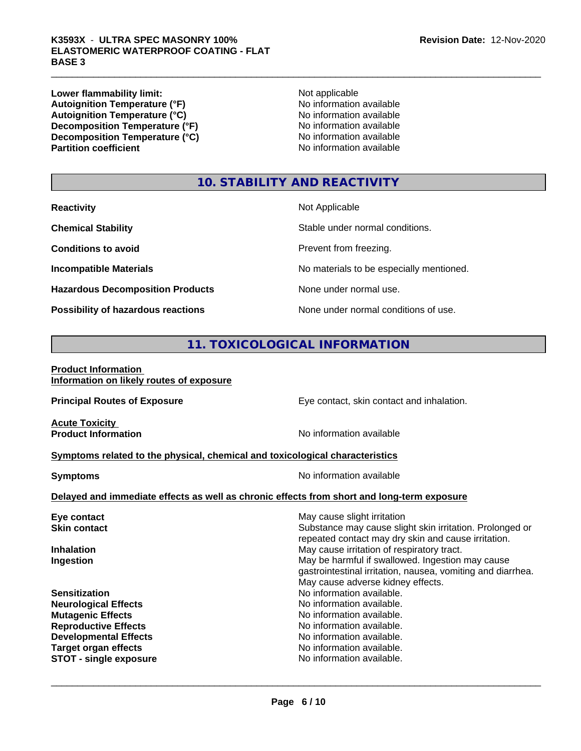**Lower flammability limit:**<br> **Autoignition Temperature (°F)**<br>
Mo information available Autoignition Temperature (°F)<br>
Autoignition Temperature (°C)<br>
No information available Autoignition Temperature (°C)<br>
Decomposition Temperature (°F)<br>
No information available **Decomposition Temperature (°F)**<br> **Decomposition Temperature (°C)**<br>
No information available<br>
No information available **Decomposition Temperature (°C) Partition coefficient** 

### **10. STABILITY AND REACTIVITY**

| <b>Reactivity</b>                         | Not Applicable                           |
|-------------------------------------------|------------------------------------------|
| <b>Chemical Stability</b>                 | Stable under normal conditions.          |
| <b>Conditions to avoid</b>                | Prevent from freezing.                   |
| <b>Incompatible Materials</b>             | No materials to be especially mentioned. |
| <b>Hazardous Decomposition Products</b>   | None under normal use.                   |
| <b>Possibility of hazardous reactions</b> | None under normal conditions of use.     |

### **11. TOXICOLOGICAL INFORMATION**

#### **Product Information Information on likely routes of exposure**

| <b>Principal Routes of Exposure</b>                                                                                                                                                                            | Eye contact, skin contact and inhalation.                                                                                                                                                               |
|----------------------------------------------------------------------------------------------------------------------------------------------------------------------------------------------------------------|---------------------------------------------------------------------------------------------------------------------------------------------------------------------------------------------------------|
| <b>Acute Toxicity</b><br><b>Product Information</b>                                                                                                                                                            | No information available                                                                                                                                                                                |
| Symptoms related to the physical, chemical and toxicological characteristics                                                                                                                                   |                                                                                                                                                                                                         |
| <b>Symptoms</b>                                                                                                                                                                                                | No information available                                                                                                                                                                                |
| Delayed and immediate effects as well as chronic effects from short and long-term exposure                                                                                                                     |                                                                                                                                                                                                         |
| Eye contact                                                                                                                                                                                                    | May cause slight irritation                                                                                                                                                                             |
| <b>Skin contact</b>                                                                                                                                                                                            | Substance may cause slight skin irritation. Prolonged or<br>repeated contact may dry skin and cause irritation.                                                                                         |
| <b>Inhalation</b><br>Ingestion                                                                                                                                                                                 | May cause irritation of respiratory tract.<br>May be harmful if swallowed. Ingestion may cause<br>gastrointestinal irritation, nausea, vomiting and diarrhea.<br>May cause adverse kidney effects.      |
| <b>Sensitization</b><br><b>Neurological Effects</b><br><b>Mutagenic Effects</b><br><b>Reproductive Effects</b><br><b>Developmental Effects</b><br><b>Target organ effects</b><br><b>STOT - single exposure</b> | No information available.<br>No information available.<br>No information available.<br>No information available.<br>No information available.<br>No information available.<br>No information available. |
|                                                                                                                                                                                                                |                                                                                                                                                                                                         |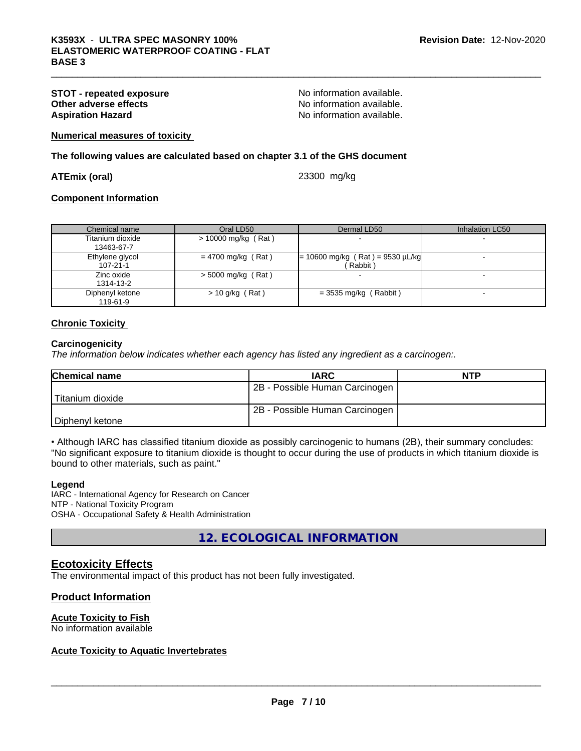## **STOT - repeated exposure and intervals are in the STOT - repeated exposure CONFICITY CONFICITY CONFICITY CONFICITY No** information available. **Aspiration Hazard Aspiration Hazard No information available.**

No information available.

**Numerical measures of toxicity**

**The following values are calculated based on chapter 3.1 of the GHS document**

#### **ATEmix (oral)** 23300 mg/kg

#### **Component Information**

| Chemical name                  | Oral LD50             | Dermal LD50                                    | Inhalation LC50 |
|--------------------------------|-----------------------|------------------------------------------------|-----------------|
| Titanium dioxide<br>13463-67-7 | $> 10000$ mg/kg (Rat) |                                                |                 |
| Ethylene glycol<br>107-21-1    | $= 4700$ mg/kg (Rat)  | $= 10600$ mg/kg (Rat) = 9530 µL/kg<br>(Rabbit) |                 |
| Zinc oxide<br>1314-13-2        | $>$ 5000 mg/kg (Rat)  |                                                |                 |
| Diphenyl ketone<br>119-61-9    | $> 10$ g/kg (Rat)     | $=$ 3535 mg/kg (Rabbit)                        |                 |

#### **Chronic Toxicity**

#### **Carcinogenicity**

*The information below indicateswhether each agency has listed any ingredient as a carcinogen:.*

| <b>Chemical name</b> | <b>IARC</b>                    | <b>NTP</b> |
|----------------------|--------------------------------|------------|
|                      | 2B - Possible Human Carcinogen |            |
| Titanium dioxide     |                                |            |
|                      | 2B - Possible Human Carcinogen |            |
| Diphenyl ketone      |                                |            |

• Although IARC has classified titanium dioxide as possibly carcinogenic to humans (2B), their summary concludes: "No significant exposure to titanium dioxide is thought to occur during the use of products in which titanium dioxide is bound to other materials, such as paint."

#### **Legend**

IARC - International Agency for Research on Cancer NTP - National Toxicity Program OSHA - Occupational Safety & Health Administration

**12. ECOLOGICAL INFORMATION**

#### **Ecotoxicity Effects**

The environmental impact of this product has not been fully investigated.

#### **Product Information**

#### **Acute Toxicity to Fish**

No information available

#### **Acute Toxicity to Aquatic Invertebrates**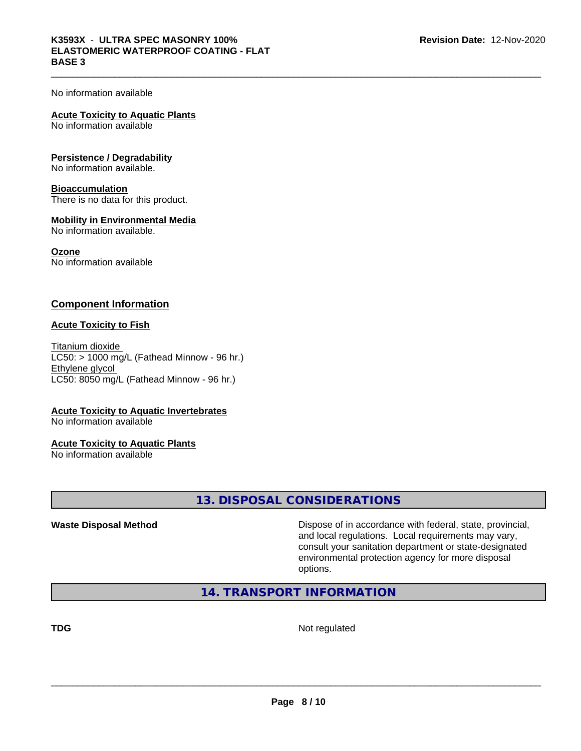No information available

#### **Acute Toxicity to Aquatic Plants**

No information available

#### **Persistence / Degradability**

No information available.

#### **Bioaccumulation**

There is no data for this product.

#### **Mobility in Environmental Media**

No information available.

#### **Ozone**

No information available

#### **Component Information**

#### **Acute Toxicity to Fish**

Titanium dioxide  $LC50: > 1000$  mg/L (Fathead Minnow - 96 hr.) Ethylene glycol LC50: 8050 mg/L (Fathead Minnow - 96 hr.)

#### **Acute Toxicity to Aquatic Invertebrates**

No information available

#### **Acute Toxicity to Aquatic Plants**

No information available

**13. DISPOSAL CONSIDERATIONS**

**Waste Disposal Method Dispose of in accordance with federal, state, provincial,** and local regulations. Local requirements may vary, consult your sanitation department or state-designated environmental protection agency for more disposal options.

#### **14. TRANSPORT INFORMATION**

**TDG** Not regulated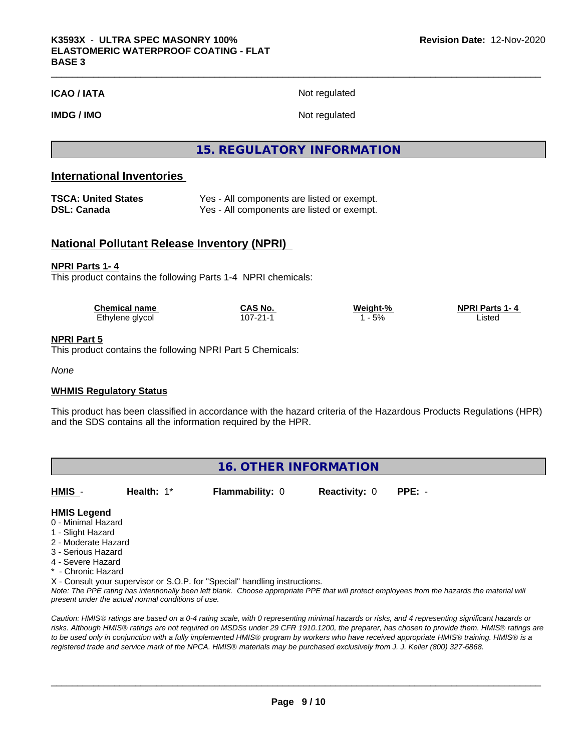**ICAO / IATA** Not regulated

**IMDG / IMO** Not regulated

#### **15. REGULATORY INFORMATION**

#### **International Inventories**

| TSCA: United States | Yes - All components are listed or exempt. |
|---------------------|--------------------------------------------|
| DSL: Canada         | Yes - All components are listed or exempt. |

#### **National Pollutant Release Inventory (NPRI)**

#### **NPRI Parts 1- 4**

This product contains the following Parts 1-4 NPRI chemicals:

| <b>Chemical name</b> | ~AS No.<br>uno  | Weight-% | <b>NPRI Parts</b><br>1. 4 |  |
|----------------------|-----------------|----------|---------------------------|--|
| Ethylene glycol      | ີດ4<br>107-21-1 | 5%       | ∟ıstec<br>.               |  |

#### **NPRI Part 5**

This product contains the following NPRI Part 5 Chemicals:

*None*

#### **WHMIS Regulatory Status**

This product has been classified in accordance with the hazard criteria of the Hazardous Products Regulations (HPR) and the SDS contains all the information required by the HPR.

| 16. OTHER INFORMATION |               |                        |                      |        |  |
|-----------------------|---------------|------------------------|----------------------|--------|--|
| HMIS -                | Health: $1^*$ | <b>Flammability: 0</b> | <b>Reactivity: 0</b> | PPE: - |  |

#### **HMIS Legend**

- 0 Minimal Hazard
- 1 Slight Hazard
- 2 Moderate Hazard
- 3 Serious Hazard
- 4 Severe Hazard
- \* Chronic Hazard

X - Consult your supervisor or S.O.P. for "Special" handling instructions.

*Note: The PPE rating has intentionally been left blank. Choose appropriate PPE that will protect employees from the hazards the material will present under the actual normal conditions of use.*

*Caution: HMISÒ ratings are based on a 0-4 rating scale, with 0 representing minimal hazards or risks, and 4 representing significant hazards or risks. Although HMISÒ ratings are not required on MSDSs under 29 CFR 1910.1200, the preparer, has chosen to provide them. HMISÒ ratings are to be used only in conjunction with a fully implemented HMISÒ program by workers who have received appropriate HMISÒ training. HMISÒ is a registered trade and service mark of the NPCA. HMISÒ materials may be purchased exclusively from J. J. Keller (800) 327-6868.*